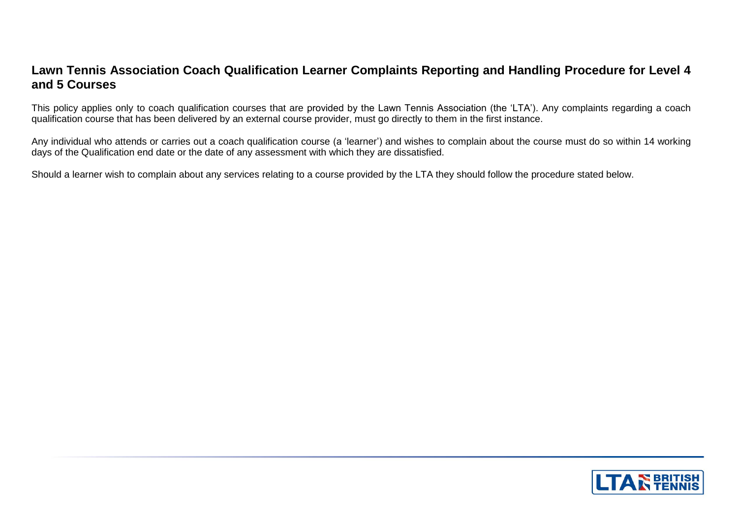## **Lawn Tennis Association Coach Qualification Learner Complaints Reporting and Handling Procedure for Level 4 and 5 Courses**

This policy applies only to coach qualification courses that are provided by the Lawn Tennis Association (the 'LTA'). Any complaints regarding a coach qualification course that has been delivered by an external course provider, must go directly to them in the first instance.

Any individual who attends or carries out a coach qualification course (a 'learner') and wishes to complain about the course must do so within 14 working days of the Qualification end date or the date of any assessment with which they are dissatisfied.

Should a learner wish to complain about any services relating to a course provided by the LTA they should follow the procedure stated below.

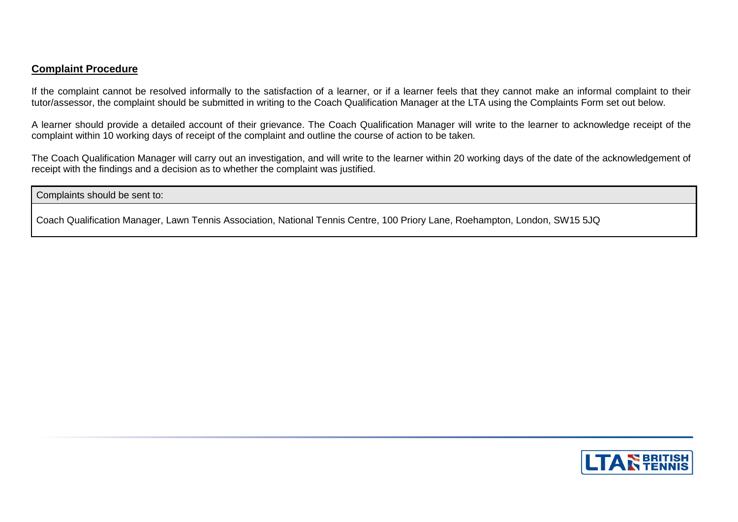## **Complaint Procedure**

If the complaint cannot be resolved informally to the satisfaction of a learner, or if a learner feels that they cannot make an informal complaint to their tutor/assessor, the complaint should be submitted in writing to the Coach Qualification Manager at the LTA using the Complaints Form set out below.

A learner should provide a detailed account of their grievance. The Coach Qualification Manager will write to the learner to acknowledge receipt of the complaint within 10 working days of receipt of the complaint and outline the course of action to be taken.

The Coach Qualification Manager will carry out an investigation, and will write to the learner within 20 working days of the date of the acknowledgement of receipt with the findings and a decision as to whether the complaint was justified.

Complaints should be sent to:

Coach Qualification Manager, Lawn Tennis Association, National Tennis Centre, 100 Priory Lane, Roehampton, London, SW15 5JQ